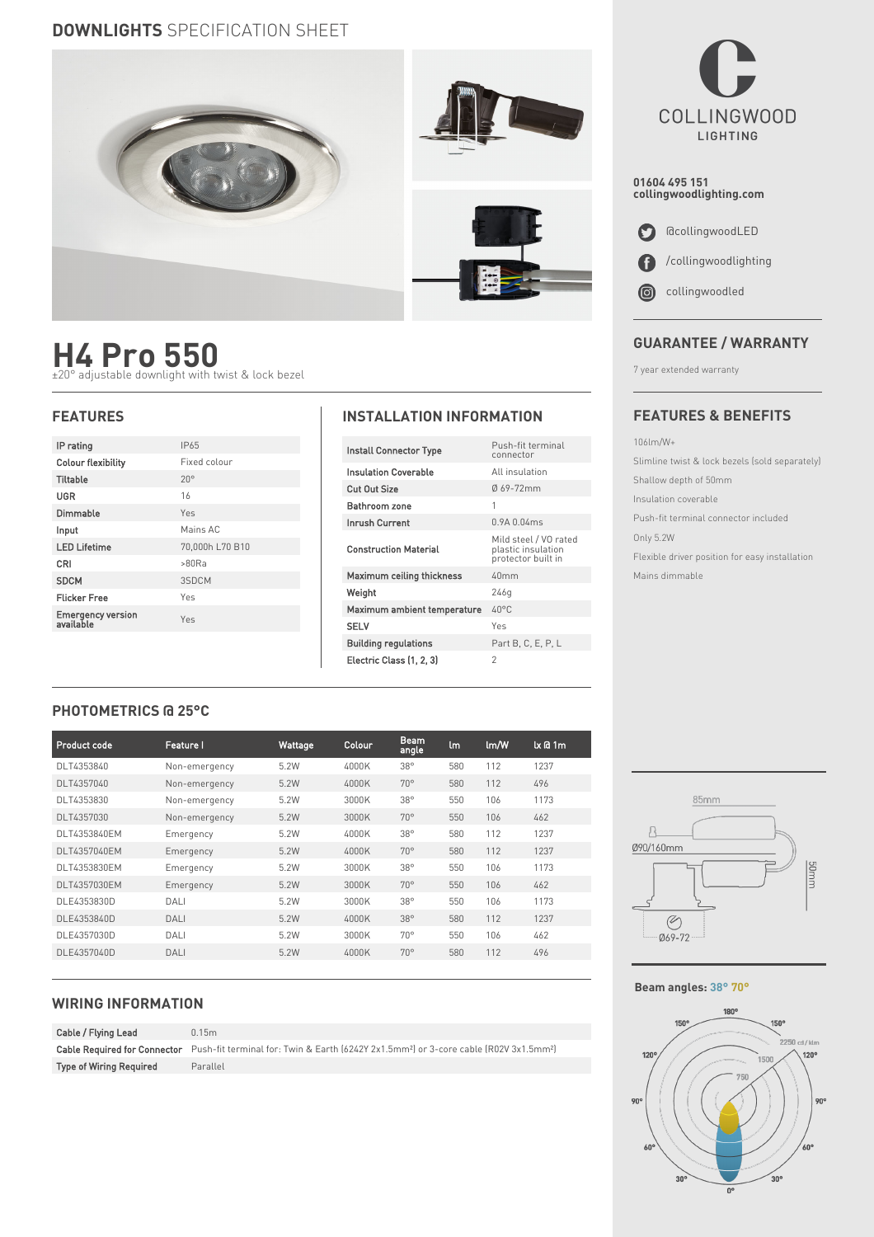### **DOWNLIGHTS** SPECIFICATION SHEET



## **H4 Pro 550** ±20° adjustable downlight with twist & lock bezel

| IP rating                      | IP65            |  |  |
|--------------------------------|-----------------|--|--|
| <b>Colour flexibility</b>      | Fixed colour    |  |  |
| Tiltable                       | $20^{\circ}$    |  |  |
| <b>UGR</b>                     | 16              |  |  |
| Dimmable                       | Yes             |  |  |
| Input                          | Mains AC        |  |  |
| <b>LED Lifetime</b>            | 70,000h L70 B10 |  |  |
| CRI                            | >80Ra           |  |  |
| <b>SDCM</b>                    | 3SDCM           |  |  |
| <b>Flicker Free</b>            | Yes             |  |  |
| Emergency version<br>available | Yes             |  |  |
|                                |                 |  |  |

#### **FEATURES INSTALLATION INFORMATION**

| <b>Install Connector Type</b>    | Push-fit terminal<br>connector                                    |  |
|----------------------------------|-------------------------------------------------------------------|--|
| <b>Insulation Coverable</b>      | All insulation                                                    |  |
| Cut Out Size                     | Ø69-72mm                                                          |  |
| Bathroom zone                    | 1                                                                 |  |
| Inrush Current                   | 0.9A0.04ms                                                        |  |
| <b>Construction Material</b>     | Mild steel / VO rated<br>plastic insulation<br>protector built in |  |
| <b>Maximum ceiling thickness</b> | 40mm                                                              |  |
| Weight                           | 246g                                                              |  |
| Maximum ambient temperature      | LO°C                                                              |  |
| <b>SELV</b>                      | Yes                                                               |  |
| <b>Building regulations</b>      | Part B, C, E, P, L                                                |  |
| Electric Class (1, 2, 3)         | $\overline{\phantom{a}}$                                          |  |

# **COLLINGWOOD** LIGHTING

**01604 495 151 collingwoodlighting.com**



#### **GUARANTEE / WARRANTY**

7 year extended warranty

#### **FEATURES & BENEFITS**

106lm/W+

Slimline twist & lock bezels (sold separately) Shallow depth of 50mm

Insulation coverable

Push-fit terminal connector included

Only 5.2W

Flexible driver position for easy installation Mains dimmable

#### **PHOTOMETRICS @ 25°C**

| Product code | <b>Feature I</b> | Wattage | Colour | <b>Beam</b><br>angle | lm  | lm/W | $k$ $a$ 1 $m$ |
|--------------|------------------|---------|--------|----------------------|-----|------|---------------|
| DLT4353840   | Non-emergency    | 5.2W    | 4000K  | $38^\circ$           | 580 | 112  | 1237          |
| DLT4357040   | Non-emergency    | 5.2W    | 4000K  | $70^{\circ}$         | 580 | 112  | 496           |
| DLT4353830   | Non-emergency    | 5.2W    | 3000K  | 38°                  | 550 | 106  | 1173          |
| DLT4357030   | Non-emergency    | 5.2W    | 3000K  | $70^{\circ}$         | 550 | 106  | 462           |
| DLT4353840EM | Emergency        | 5.2W    | 4000K  | $38^\circ$           | 580 | 112  | 1237          |
| DLT4357040EM | Emergency        | 5.2W    | 4000K  | $70^{\circ}$         | 580 | 112  | 1237          |
| DLT4353830EM | Emergency        | 5.2W    | 3000K  | $38^\circ$           | 550 | 106  | 1173          |
| DLT4357030EM | Emergency        | 5.2W    | 3000K  | $70^{\circ}$         | 550 | 106  | 462           |
| DLE4353830D  | DALI             | 5.2W    | 3000K  | 38°                  | 550 | 106  | 1173          |
| DLE4353840D  | DALI             | 5.2W    | 4000K  | $38^\circ$           | 580 | 112  | 1237          |
| DLE4357030D  | DALI             | 5.2W    | 3000K  | $70^{\circ}$         | 550 | 106  | 462           |
| DLE4357040D  | DALI             | 5.2W    | 4000K  | $70^{\circ}$         | 580 | 112  | 496           |
|              |                  |         |        |                      |     |      |               |

#### **WIRING INFORMATION**

| Cable / Flying Lead            | 0.15m                                                                                                                                       |
|--------------------------------|---------------------------------------------------------------------------------------------------------------------------------------------|
|                                | Cable Required for Connector Push-fit terminal for: Twin & Earth (6242Y 2x1.5mm <sup>2</sup> ) or 3-core cable (R02V 3x1.5mm <sup>2</sup> ) |
| <b>Type of Wiring Required</b> | Parallel                                                                                                                                    |



#### **Beam angles: 38° 70°**